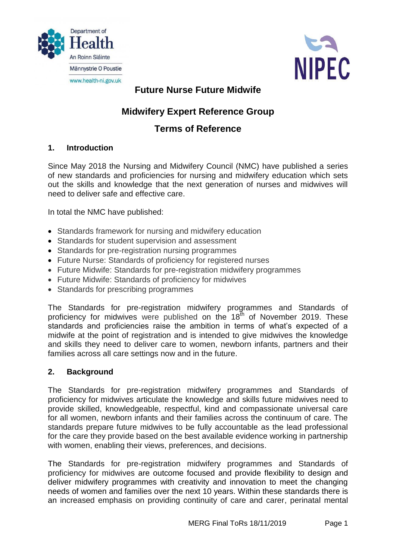



## **Future Nurse Future Midwife**

# **Midwifery Expert Reference Group**

## **Terms of Reference**

## **1. Introduction**

Since May 2018 the Nursing and Midwifery Council (NMC) have published a series of new standards and proficiencies for nursing and midwifery education which sets out the skills and knowledge that the next generation of nurses and midwives will need to deliver safe and effective care.

In total the NMC have published:

- [Standards framework for nursing and midwifery education](http://tools.nmc.org.uk/page/m/67afe66f/5a318ab1/39e3217e/707b9b82/263455290/VEsF/)
- [Standards for student supervision and assessment](http://tools.nmc.org.uk/page/m/67afe66f/5a318ab1/39e3217e/707b9b81/263455290/VEsC/)
- [Standards for pre-registration nursing programmes](http://tools.nmc.org.uk/page/m/67afe66f/5a318ab1/39e3217e/707b9b80/263455290/VEsD/)
- [Future Nurse: Standards of proficiency for registered nurses](http://tools.nmc.org.uk/page/m/67afe66f/5a318ab1/39e3217e/707b9b83/263455290/VEsE/)
- Future Midwife: Standards for pre-registration midwifery programmes
- Future Midwife: Standards of proficiency for midwives
- [Standards for prescribing programmes](http://tools.nmc.org.uk/page/m/67afe66f/5a318ab1/39e3217e/707b9bbf/263455290/VEsA/)

The Standards for pre-registration midwifery programmes and Standards of proficiency for midwives were published on the  $18<sup>th</sup>$  of November 2019. These standards and proficiencies raise the ambition in terms of what's expected of a midwife at the point of registration and is intended to give midwives the knowledge and skills they need to deliver care to women, newborn infants, partners and their families across all care settings now and in the future.

## **2. Background**

The Standards for pre-registration midwifery programmes and Standards of proficiency for midwives articulate the knowledge and skills future midwives need to provide skilled, knowledgeable, respectful, kind and compassionate universal care for all women, newborn infants and their families across the continuum of care. The standards prepare future midwives to be fully accountable as the lead professional for the care they provide based on the best available evidence working in partnership with women, enabling their views, preferences, and decisions.

The Standards for pre-registration midwifery programmes and Standards of proficiency for midwives are outcome focused and provide flexibility to design and deliver midwifery programmes with creativity and innovation to meet the changing needs of women and families over the next 10 years. Within these standards there is an increased emphasis on providing continuity of care and carer, perinatal mental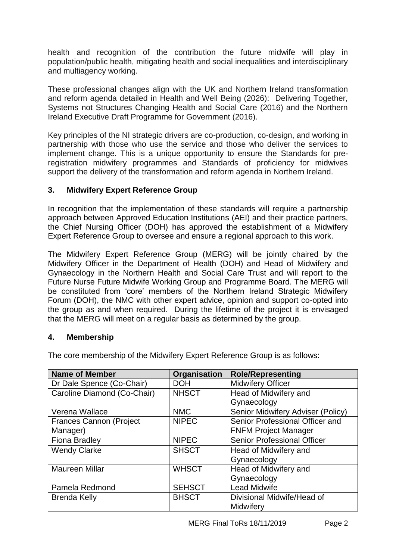health and recognition of the contribution the future midwife will play in population/public health, mitigating health and social inequalities and interdisciplinary and multiagency working.

These professional changes align with the UK and Northern Ireland transformation and reform agenda detailed in Health and Well Being (2026): Delivering Together, Systems not Structures Changing Health and Social Care (2016) and the Northern Ireland Executive Draft Programme for Government (2016).

Key principles of the NI strategic drivers are co-production, co-design, and working in partnership with those who use the service and those who deliver the services to implement change. This is a unique opportunity to ensure the Standards for preregistration midwifery programmes and Standards of proficiency for midwives support the delivery of the transformation and reform agenda in Northern Ireland.

## **3. Midwifery Expert Reference Group**

In recognition that the implementation of these standards will require a partnership approach between Approved Education Institutions (AEI) and their practice partners, the Chief Nursing Officer (DOH) has approved the establishment of a Midwifery Expert Reference Group to oversee and ensure a regional approach to this work.

The Midwifery Expert Reference Group (MERG) will be jointly chaired by the Midwifery Officer in the Department of Health (DOH) and Head of Midwifery and Gynaecology in the Northern Health and Social Care Trust and will report to the Future Nurse Future Midwife Working Group and Programme Board. The MERG will be constituted from 'core' members of the Northern Ireland Strategic Midwifery Forum (DOH), the NMC with other expert advice, opinion and support co-opted into the group as and when required. During the lifetime of the project it is envisaged that the MERG will meet on a regular basis as determined by the group.

#### **4. Membership**

| <b>Name of Member</b>          | Organisation  | <b>Role/Representing</b>           |
|--------------------------------|---------------|------------------------------------|
| Dr Dale Spence (Co-Chair)      | <b>DOH</b>    | <b>Midwifery Officer</b>           |
| Caroline Diamond (Co-Chair)    | <b>NHSCT</b>  | Head of Midwifery and              |
|                                |               | Gynaecology                        |
| Verena Wallace                 | <b>NMC</b>    | Senior Midwifery Adviser (Policy)  |
| <b>Frances Cannon (Project</b> | <b>NIPEC</b>  | Senior Professional Officer and    |
| Manager)                       |               | <b>FNFM Project Manager</b>        |
| <b>Fiona Bradley</b>           | <b>NIPEC</b>  | <b>Senior Professional Officer</b> |
| <b>Wendy Clarke</b>            | <b>SHSCT</b>  | Head of Midwifery and              |
|                                |               | Gynaecology                        |
| <b>Maureen Millar</b>          | <b>WHSCT</b>  | Head of Midwifery and              |
|                                |               | Gynaecology                        |
| Pamela Redmond                 | <b>SEHSCT</b> | <b>Lead Midwife</b>                |
| <b>Brenda Kelly</b>            | <b>BHSCT</b>  | Divisional Midwife/Head of         |
|                                |               | Midwifery                          |

The core membership of the Midwifery Expert Reference Group is as follows: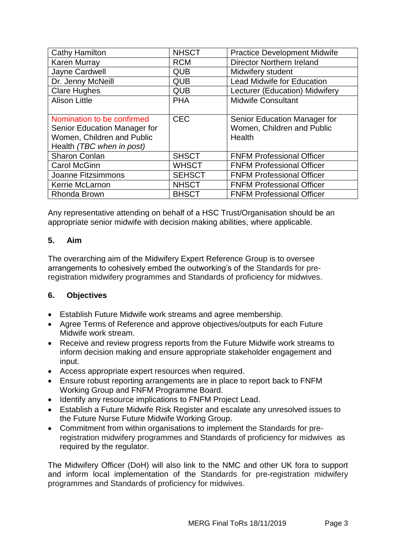| <b>Cathy Hamilton</b>        | <b>NHSCT</b>  | <b>Practice Development Midwife</b> |
|------------------------------|---------------|-------------------------------------|
| <b>Karen Murray</b>          | <b>RCM</b>    | <b>Director Northern Ireland</b>    |
| Jayne Cardwell               | <b>QUB</b>    | Midwifery student                   |
| Dr. Jenny McNeill            | <b>QUB</b>    | <b>Lead Midwife for Education</b>   |
| <b>Clare Hughes</b>          | <b>QUB</b>    | Lecturer (Education) Midwifery      |
| <b>Alison Little</b>         | <b>PHA</b>    | <b>Midwife Consultant</b>           |
|                              |               |                                     |
| Nomination to be confirmed   | <b>CEC</b>    | Senior Education Manager for        |
| Senior Education Manager for |               | Women, Children and Public          |
| Women, Children and Public   |               | Health                              |
| Health (TBC when in post)    |               |                                     |
| <b>Sharon Conlan</b>         | <b>SHSCT</b>  | <b>FNFM Professional Officer</b>    |
| <b>Carol McGinn</b>          | <b>WHSCT</b>  | <b>FNFM Professional Officer</b>    |
| Joanne Fitzsimmons           | <b>SEHSCT</b> | <b>FNFM Professional Officer</b>    |
| Kerrie McLarnon              | <b>NHSCT</b>  | <b>FNFM Professional Officer</b>    |
| <b>Rhonda Brown</b>          | <b>BHSCT</b>  | <b>FNFM Professional Officer</b>    |

Any representative attending on behalf of a HSC Trust/Organisation should be an appropriate senior midwife with decision making abilities, where applicable.

## **5. Aim**

The overarching aim of the Midwifery Expert Reference Group is to oversee arrangements to cohesively embed the outworking's of the Standards for preregistration midwifery programmes and Standards of proficiency for midwives.

## **6. Objectives**

- Establish Future Midwife work streams and agree membership.
- Agree Terms of Reference and approve objectives/outputs for each Future Midwife work stream.
- Receive and review progress reports from the Future Midwife work streams to inform decision making and ensure appropriate stakeholder engagement and input.
- Access appropriate expert resources when required.
- Ensure robust reporting arrangements are in place to report back to FNFM Working Group and FNFM Programme Board.
- Identify any resource implications to FNFM Project Lead.
- Establish a Future Midwife Risk Register and escalate any unresolved issues to the Future Nurse Future Midwife Working Group.
- Commitment from within organisations to implement the Standards for preregistration midwifery programmes and Standards of proficiency for midwives as required by the regulator.

The Midwifery Officer (DoH) will also link to the NMC and other UK fora to support and inform local implementation of the Standards for pre-registration midwifery programmes and Standards of proficiency for midwives.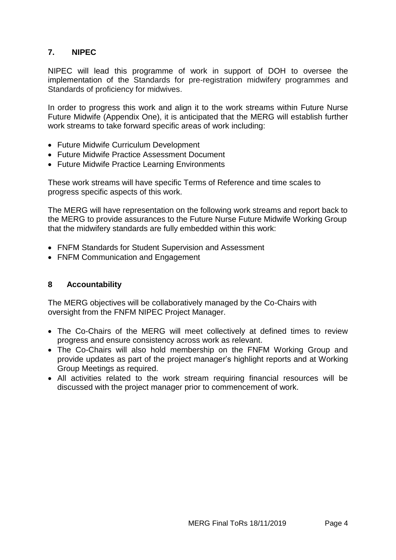## **7. NIPEC**

NIPEC will lead this programme of work in support of DOH to oversee the implementation of the Standards for pre-registration midwifery programmes and Standards of proficiency for midwives.

In order to progress this work and align it to the work streams within Future Nurse Future Midwife (Appendix One), it is anticipated that the MERG will establish further work streams to take forward specific areas of work including:

- Future Midwife Curriculum Development
- Future Midwife Practice Assessment Document
- Future Midwife Practice Learning Environments

These work streams will have specific Terms of Reference and time scales to progress specific aspects of this work.

The MERG will have representation on the following work streams and report back to the MERG to provide assurances to the Future Nurse Future Midwife Working Group that the midwifery standards are fully embedded within this work:

- FNFM Standards for Student Supervision and Assessment
- FNFM Communication and Engagement

### **8 Accountability**

The MERG objectives will be collaboratively managed by the Co-Chairs with oversight from the FNFM NIPEC Project Manager.

- The Co-Chairs of the MERG will meet collectively at defined times to review progress and ensure consistency across work as relevant.
- The Co-Chairs will also hold membership on the FNFM Working Group and provide updates as part of the project manager's highlight reports and at Working Group Meetings as required.
- All activities related to the work stream requiring financial resources will be discussed with the project manager prior to commencement of work.